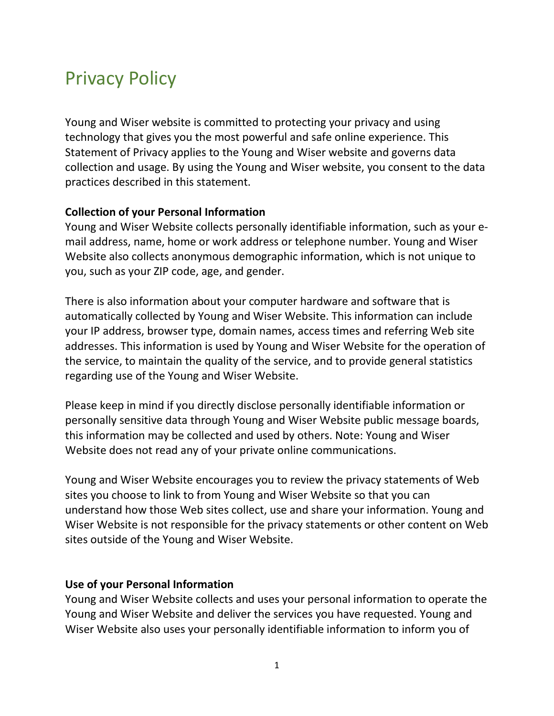# Privacy Policy

Young and Wiser website is committed to protecting your privacy and using technology that gives you the most powerful and safe online experience. This Statement of Privacy applies to the Young and Wiser website and governs data collection and usage. By using the Young and Wiser website, you consent to the data practices described in this statement.

### **Collection of your Personal Information**

Young and Wiser Website collects personally identifiable information, such as your email address, name, home or work address or telephone number. Young and Wiser Website also collects anonymous demographic information, which is not unique to you, such as your ZIP code, age, and gender.

There is also information about your computer hardware and software that is automatically collected by Young and Wiser Website. This information can include your IP address, browser type, domain names, access times and referring Web site addresses. This information is used by Young and Wiser Website for the operation of the service, to maintain the quality of the service, and to provide general statistics regarding use of the Young and Wiser Website.

Please keep in mind if you directly disclose personally identifiable information or personally sensitive data through Young and Wiser Website public message boards, this information may be collected and used by others. Note: Young and Wiser Website does not read any of your private online communications.

Young and Wiser Website encourages you to review the privacy statements of Web sites you choose to link to from Young and Wiser Website so that you can understand how those Web sites collect, use and share your information. Young and Wiser Website is not responsible for the privacy statements or other content on Web sites outside of the Young and Wiser Website.

#### **Use of your Personal Information**

Young and Wiser Website collects and uses your personal information to operate the Young and Wiser Website and deliver the services you have requested. Young and Wiser Website also uses your personally identifiable information to inform you of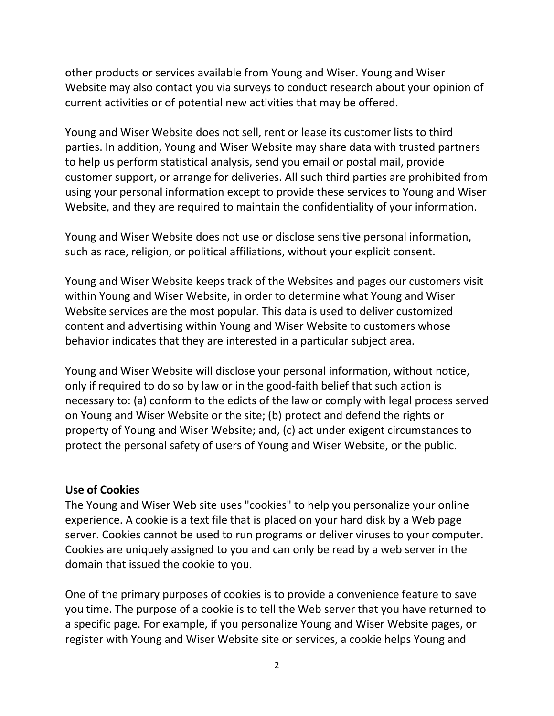other products or services available from Young and Wiser. Young and Wiser Website may also contact you via surveys to conduct research about your opinion of current activities or of potential new activities that may be offered.

Young and Wiser Website does not sell, rent or lease its customer lists to third parties. In addition, Young and Wiser Website may share data with trusted partners to help us perform statistical analysis, send you email or postal mail, provide customer support, or arrange for deliveries. All such third parties are prohibited from using your personal information except to provide these services to Young and Wiser Website, and they are required to maintain the confidentiality of your information.

Young and Wiser Website does not use or disclose sensitive personal information, such as race, religion, or political affiliations, without your explicit consent.

Young and Wiser Website keeps track of the Websites and pages our customers visit within Young and Wiser Website, in order to determine what Young and Wiser Website services are the most popular. This data is used to deliver customized content and advertising within Young and Wiser Website to customers whose behavior indicates that they are interested in a particular subject area.

Young and Wiser Website will disclose your personal information, without notice, only if required to do so by law or in the good-faith belief that such action is necessary to: (a) conform to the edicts of the law or comply with legal process served on Young and Wiser Website or the site; (b) protect and defend the rights or property of Young and Wiser Website; and, (c) act under exigent circumstances to protect the personal safety of users of Young and Wiser Website, or the public.

#### **Use of Cookies**

The Young and Wiser Web site uses "cookies" to help you personalize your online experience. A cookie is a text file that is placed on your hard disk by a Web page server. Cookies cannot be used to run programs or deliver viruses to your computer. Cookies are uniquely assigned to you and can only be read by a web server in the domain that issued the cookie to you.

One of the primary purposes of cookies is to provide a convenience feature to save you time. The purpose of a cookie is to tell the Web server that you have returned to a specific page. For example, if you personalize Young and Wiser Website pages, or register with Young and Wiser Website site or services, a cookie helps Young and